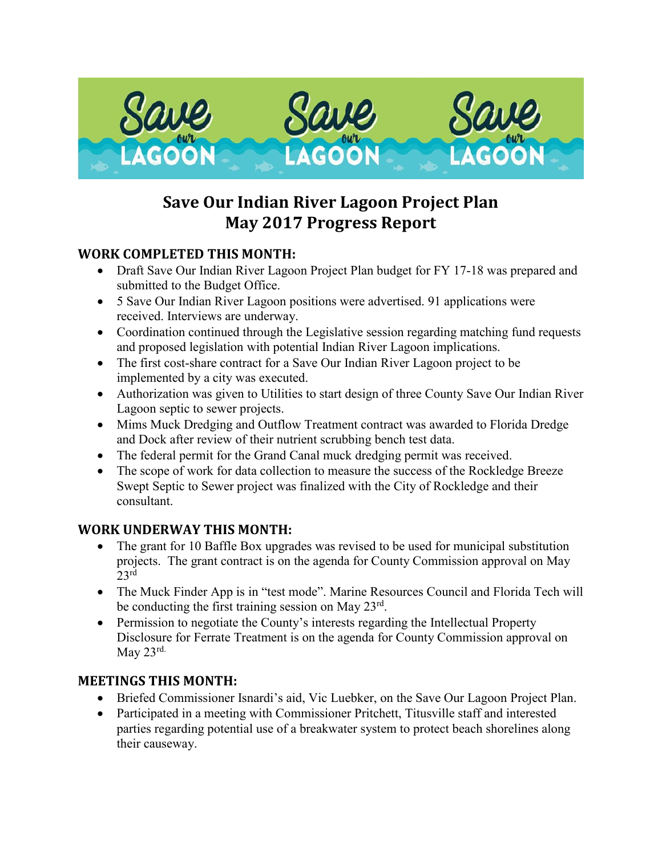

# **Save Our Indian River Lagoon Project Plan May 2017 Progress Report**

## **WORK COMPLETED THIS MONTH:**

- Draft Save Our Indian River Lagoon Project Plan budget for FY 17-18 was prepared and submitted to the Budget Office.
- 5 Save Our Indian River Lagoon positions were advertised. 91 applications were received. Interviews are underway.
- Coordination continued through the Legislative session regarding matching fund requests and proposed legislation with potential Indian River Lagoon implications.
- The first cost-share contract for a Save Our Indian River Lagoon project to be implemented by a city was executed.
- Authorization was given to Utilities to start design of three County Save Our Indian River Lagoon septic to sewer projects.
- Mims Muck Dredging and Outflow Treatment contract was awarded to Florida Dredge and Dock after review of their nutrient scrubbing bench test data.
- The federal permit for the Grand Canal muck dredging permit was received.
- The scope of work for data collection to measure the success of the Rockledge Breeze Swept Septic to Sewer project was finalized with the City of Rockledge and their consultant.

## **WORK UNDERWAY THIS MONTH:**

- The grant for 10 Baffle Box upgrades was revised to be used for municipal substitution projects. The grant contract is on the agenda for County Commission approval on May  $23<sup>rd</sup>$
- The Muck Finder App is in "test mode". Marine Resources Council and Florida Tech will be conducting the first training session on May  $23^{\text{rd}}$ .
- Permission to negotiate the County's interests regarding the Intellectual Property Disclosure for Ferrate Treatment is on the agenda for County Commission approval on May 23rd.

#### **MEETINGS THIS MONTH:**

- Briefed Commissioner Isnardi's aid, Vic Luebker, on the Save Our Lagoon Project Plan.
- Participated in a meeting with Commissioner Pritchett, Titusville staff and interested parties regarding potential use of a breakwater system to protect beach shorelines along their causeway.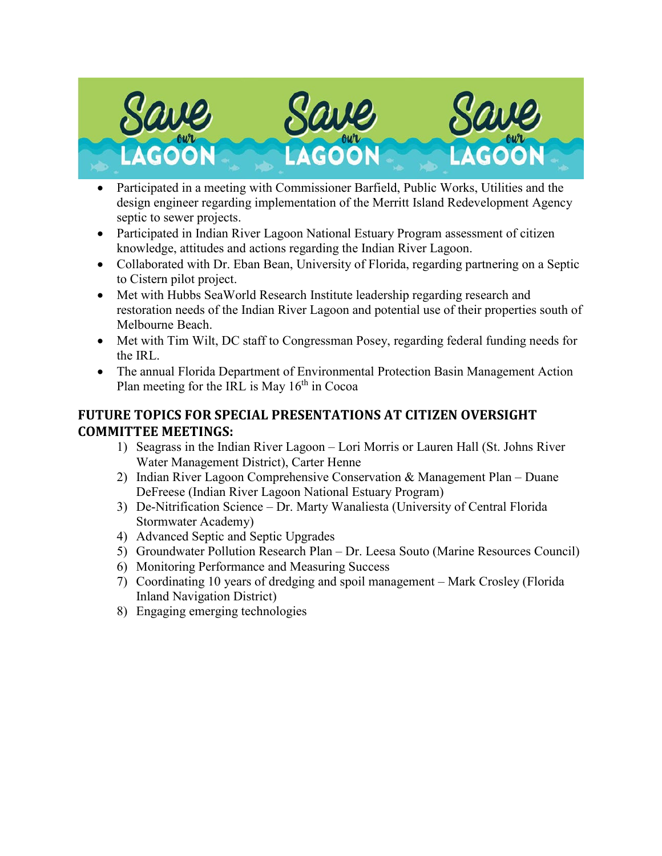

- Participated in a meeting with Commissioner Barfield, Public Works, Utilities and the design engineer regarding implementation of the Merritt Island Redevelopment Agency septic to sewer projects.
- Participated in Indian River Lagoon National Estuary Program assessment of citizen knowledge, attitudes and actions regarding the Indian River Lagoon.
- Collaborated with Dr. Eban Bean, University of Florida, regarding partnering on a Septic to Cistern pilot project.
- Met with Hubbs SeaWorld Research Institute leadership regarding research and restoration needs of the Indian River Lagoon and potential use of their properties south of Melbourne Beach.
- Met with Tim Wilt, DC staff to Congressman Posey, regarding federal funding needs for the IRL.
- The annual Florida Department of Environmental Protection Basin Management Action Plan meeting for the IRL is May  $16<sup>th</sup>$  in Cocoa

## **FUTURE TOPICS FOR SPECIAL PRESENTATIONS AT CITIZEN OVERSIGHT COMMITTEE MEETINGS:**

- 1) Seagrass in the Indian River Lagoon Lori Morris or Lauren Hall (St. Johns River Water Management District), Carter Henne
- 2) Indian River Lagoon Comprehensive Conservation & Management Plan Duane DeFreese (Indian River Lagoon National Estuary Program)
- 3) De-Nitrification Science Dr. Marty Wanaliesta (University of Central Florida Stormwater Academy)
- 4) Advanced Septic and Septic Upgrades
- 5) Groundwater Pollution Research Plan Dr. Leesa Souto (Marine Resources Council)
- 6) Monitoring Performance and Measuring Success
- 7) Coordinating 10 years of dredging and spoil management Mark Crosley (Florida Inland Navigation District)
- 8) Engaging emerging technologies